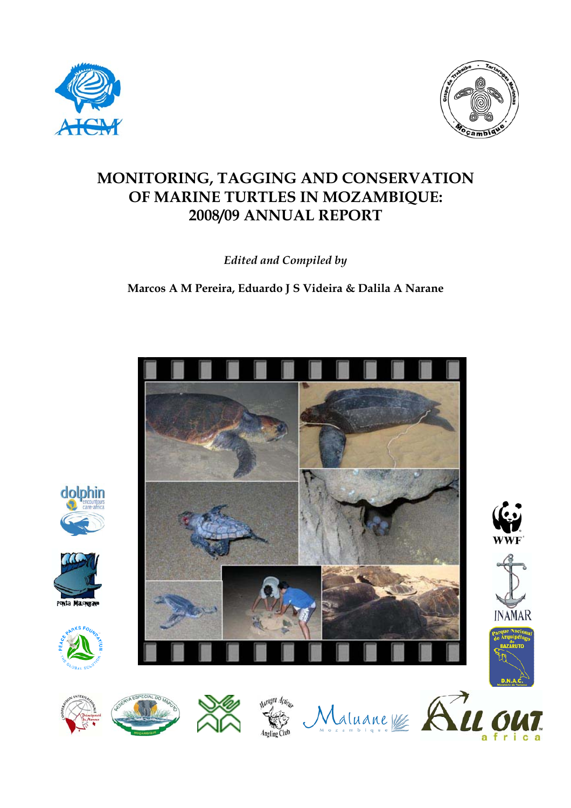



## **MONITORING, TAGGING AND CONSERVATION OF MARINE TURTLES IN MOZAMBIQUE: 2008/09 ANNUAL REPORT**

*Edited and Compiled by* 

**Marcos A M Pereira, Eduardo J S Videira & Dalila A Narane** 





PONTa MaLONgave

dolphin







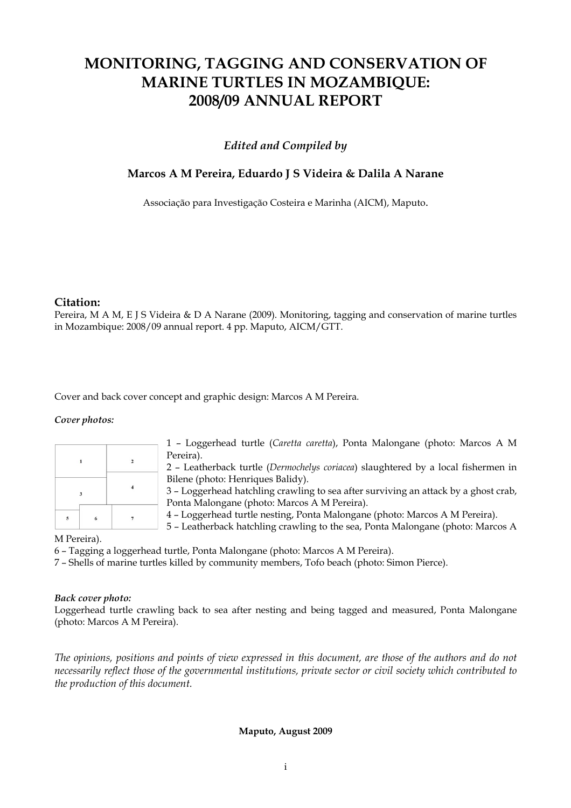## **MONITORING, TAGGING AND CONSERVATION OF MARINE TURTLES IN MOZAMBIQUE: 2008/09 ANNUAL REPORT**

### *Edited and Compiled by*

### **Marcos A M Pereira, Eduardo J S Videira & Dalila A Narane**

Associação para Investigação Costeira e Marinha (AICM), Maputo.

### **Citation:**

Pereira, M A M, E J S Videira & D A Narane (2009). Monitoring, tagging and conservation of marine turtles in Mozambique: 2008/09 annual report. 4 pp. Maputo, AICM/GTT.

Cover and back cover concept and graphic design: Marcos A M Pereira.

#### *Cover photos:*

1 – Loggerhead turtle (*Caretta caretta*), Ponta Malongane (photo: Marcos A M Pereira).

2 – Leatherback turtle (*Dermochelys coriacea*) slaughtered by a local fishermen in Bilene (photo: Henriques Balidy).

3 – Loggerhead hatchling crawling to sea after surviving an attack by a ghost crab, Ponta Malongane (photo: Marcos A M Pereira).

4 – Loggerhead turtle nesting, Ponta Malongane (photo: Marcos A M Pereira).

5 – Leatherback hatchling crawling to the sea, Ponta Malongane (photo: Marcos A

### M Pereira).

6 – Tagging a loggerhead turtle, Ponta Malongane (photo: Marcos A M Pereira).

7 – Shells of marine turtles killed by community members, Tofo beach (photo: Simon Pierce).

### *Back cover photo:*

Loggerhead turtle crawling back to sea after nesting and being tagged and measured, Ponta Malongane (photo: Marcos A M Pereira).

*The opinions, positions and points of view expressed in this document, are those of the authors and do not necessarily reflect those of the governmental institutions, private sector or civil society which contributed to the production of this document.*

#### **Maputo, August 2009**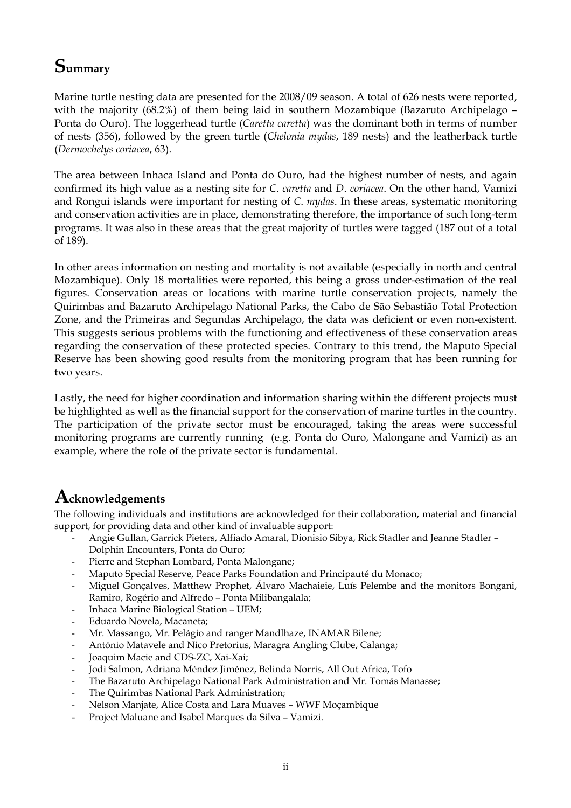## **Summary**

Marine turtle nesting data are presented for the 2008/09 season. A total of 626 nests were reported, with the majority (68.2%) of them being laid in southern Mozambique (Bazaruto Archipelago – Ponta do Ouro). The loggerhead turtle (*Caretta caretta*) was the dominant both in terms of number of nests (356), followed by the green turtle (*Chelonia mydas*, 189 nests) and the leatherback turtle (*Dermochelys coriacea*, 63).

The area between Inhaca Island and Ponta do Ouro, had the highest number of nests, and again confirmed its high value as a nesting site for *C*. *caretta* and *D*. *coriacea*. On the other hand, Vamizi and Rongui islands were important for nesting of *C*. *mydas*. In these areas, systematic monitoring and conservation activities are in place, demonstrating therefore, the importance of such long-term programs. It was also in these areas that the great majority of turtles were tagged (187 out of a total of 189).

In other areas information on nesting and mortality is not available (especially in north and central Mozambique). Only 18 mortalities were reported, this being a gross under-estimation of the real figures. Conservation areas or locations with marine turtle conservation projects, namely the Quirimbas and Bazaruto Archipelago National Parks, the Cabo de São Sebastião Total Protection Zone, and the Primeiras and Segundas Archipelago, the data was deficient or even non-existent. This suggests serious problems with the functioning and effectiveness of these conservation areas regarding the conservation of these protected species. Contrary to this trend, the Maputo Special Reserve has been showing good results from the monitoring program that has been running for two years.

Lastly, the need for higher coordination and information sharing within the different projects must be highlighted as well as the financial support for the conservation of marine turtles in the country. The participation of the private sector must be encouraged, taking the areas were successful monitoring programs are currently running (e.g. Ponta do Ouro, Malongane and Vamizi) as an example, where the role of the private sector is fundamental.

### **Acknowledgements**

The following individuals and institutions are acknowledged for their collaboration, material and financial support, for providing data and other kind of invaluable support:

- Angie Gullan, Garrick Pieters, Alfiado Amaral, Dionisio Sibya, Rick Stadler and Jeanne Stadler Dolphin Encounters, Ponta do Ouro;
- Pierre and Stephan Lombard, Ponta Malongane;
- Maputo Special Reserve, Peace Parks Foundation and Principauté du Monaco;
- Miguel Gonçalves, Matthew Prophet, Álvaro Machaieie, Luís Pelembe and the monitors Bongani, Ramiro, Rogério and Alfredo – Ponta Milibangalala;
- Inhaca Marine Biological Station UEM;
- Eduardo Novela, Macaneta;
- Mr. Massango, Mr. Pelágio and ranger Mandlhaze, INAMAR Bilene;
- António Matavele and Nico Pretorius, Maragra Angling Clube, Calanga;
- Joaquim Macie and CDS-ZC, Xai-Xai;
- Jodi Salmon, Adriana Méndez Jiménez, Belinda Norris, All Out Africa, Tofo
- The Bazaruto Archipelago National Park Administration and Mr. Tomás Manasse;
- The Quirimbas National Park Administration;
- Nelson Manjate, Alice Costa and Lara Muaves WWF Moçambique
- Project Maluane and Isabel Marques da Silva Vamizi.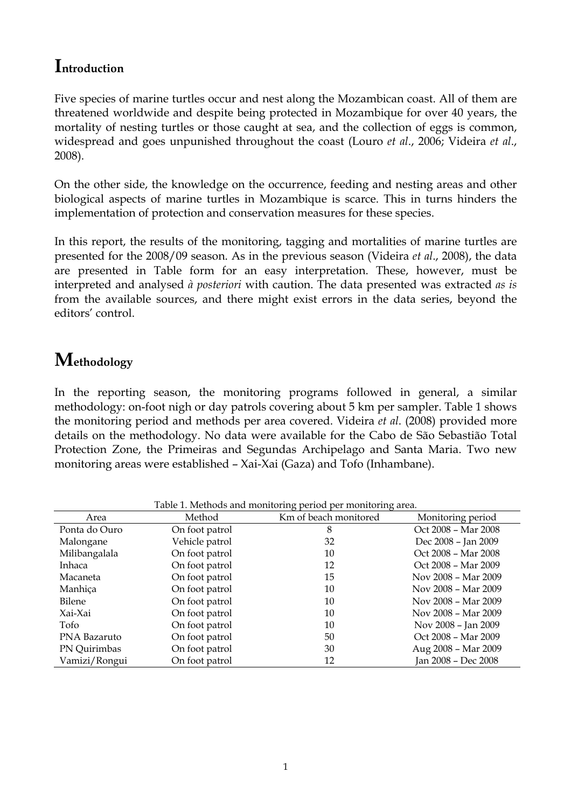### **Introduction**

Five species of marine turtles occur and nest along the Mozambican coast. All of them are threatened worldwide and despite being protected in Mozambique for over 40 years, the mortality of nesting turtles or those caught at sea, and the collection of eggs is common, widespread and goes unpunished throughout the coast (Louro *et al*., 2006; Videira *et al*., 2008).

On the other side, the knowledge on the occurrence, feeding and nesting areas and other biological aspects of marine turtles in Mozambique is scarce. This in turns hinders the implementation of protection and conservation measures for these species.

In this report, the results of the monitoring, tagging and mortalities of marine turtles are presented for the 2008/09 season. As in the previous season (Videira *et al*., 2008), the data are presented in Table form for an easy interpretation. These, however, must be interpreted and analysed *à posteriori* with caution. The data presented was extracted *as is* from the available sources, and there might exist errors in the data series, beyond the editors' control.

## **Methodology**

In the reporting season, the monitoring programs followed in general, a similar methodology: on-foot nigh or day patrols covering about 5 km per sampler. Table 1 shows the monitoring period and methods per area covered. Videira *et al*. (2008) provided more details on the methodology. No data were available for the Cabo de São Sebastião Total Protection Zone, the Primeiras and Segundas Archipelago and Santa Maria. Two new monitoring areas were established – Xai-Xai (Gaza) and Tofo (Inhambane).

| Area          | Method         | Km of beach monitored | Monitoring period   |
|---------------|----------------|-----------------------|---------------------|
| Ponta do Ouro | On foot patrol | 8                     | Oct 2008 - Mar 2008 |
| Malongane     | Vehicle patrol | 32                    | Dec 2008 - Jan 2009 |
| Milibangalala | On foot patrol | 10                    | Oct 2008 - Mar 2008 |
| Inhaca        | On foot patrol | 12                    | Oct 2008 - Mar 2009 |
| Macaneta      | On foot patrol | 15                    | Nov 2008 - Mar 2009 |
| Manhiça       | On foot patrol | 10                    | Nov 2008 - Mar 2009 |
| Bilene        | On foot patrol | 10                    | Nov 2008 - Mar 2009 |
| Xai-Xai       | On foot patrol | 10                    | Nov 2008 - Mar 2009 |
| Tofo          | On foot patrol | 10                    | Nov 2008 - Jan 2009 |
| PNA Bazaruto  | On foot patrol | 50                    | Oct 2008 - Mar 2009 |
| PN Quirimbas  | On foot patrol | 30                    | Aug 2008 - Mar 2009 |
| Vamizi/Rongui | On foot patrol | 12                    | Jan 2008 - Dec 2008 |

Table 1. Methods and monitoring period per monitoring area.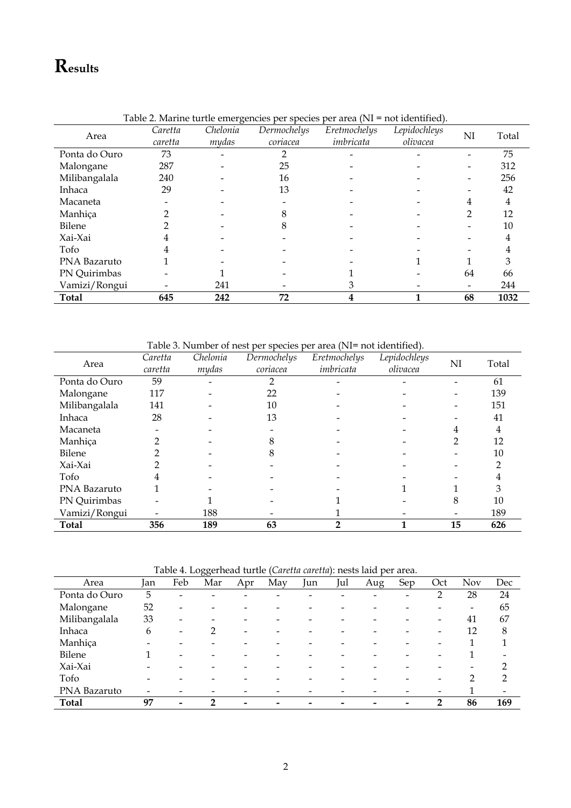# **Results**

|               |         |          | Table 2. Marine turtle emergencies per species per area (NI = not identified). |              |              |    |       |
|---------------|---------|----------|--------------------------------------------------------------------------------|--------------|--------------|----|-------|
| Area          | Caretta | Chelonia | Dermochelys                                                                    | Eretmochelys | Lepidochleys | NI | Total |
|               | caretta | mydas    | coriacea                                                                       | imbricata    | olivacea     |    |       |
| Ponta do Ouro | 73      |          |                                                                                |              |              |    | 75    |
| Malongane     | 287     |          | 25                                                                             |              |              |    | 312   |
| Milibangalala | 240     |          | 16                                                                             |              |              |    | 256   |
| Inhaca        | 29      |          | 13                                                                             |              |              |    | 42    |
| Macaneta      |         |          |                                                                                |              |              | 4  | 4     |
| Manhica       |         |          |                                                                                |              |              |    | 12    |
| Bilene        |         |          |                                                                                |              |              |    | 10    |
| Xai-Xai       |         |          |                                                                                |              |              |    | 4     |
| Tofo          |         |          |                                                                                |              |              |    |       |
| PNA Bazaruto  |         |          |                                                                                |              |              |    |       |
| PN Quirimbas  |         |          |                                                                                |              |              | 64 | 66    |
| Vamizi/Rongui |         | 241      |                                                                                | Ő.           |              |    | 244   |
| Total         | 645     | 242      | 72                                                                             | 4            |              | 68 | 1032  |

Table 2. Marine turtle emergencies per species per area (NI = not identified).

Table 3. Number of nest per species per area (NI= not identified).

| Area          | Caretta | Chelonia | Dermochelys | Eretmochelys | Lepidochleys | NI | Total |
|---------------|---------|----------|-------------|--------------|--------------|----|-------|
|               | caretta | mydas    | coriacea    | imbricata    | olivacea     |    |       |
| Ponta do Ouro | 59      |          | 2           |              |              |    | 61    |
| Malongane     | 117     |          | 22          |              |              |    | 139   |
| Milibangalala | 141     |          | 10          |              |              |    | 151   |
| Inhaca        | 28      |          | 13          |              |              |    | 41    |
| Macaneta      |         |          |             |              |              | 4  | 4     |
| Manhica       |         |          |             |              |              | 2  | 12    |
| Bilene        |         |          | 8           |              |              |    | 10    |
| Xai-Xai       |         |          |             |              |              |    |       |
| Tofo          | 4       |          |             |              |              |    |       |
| PNA Bazaruto  |         |          |             |              |              |    | 3     |
| PN Quirimbas  |         |          |             |              |              | 8  | 10    |
| Vamizi/Rongui |         | 188      |             |              |              |    | 189   |
| <b>Total</b>  | 356     | 189      | 63          |              |              | 15 | 626   |

Table 4. Loggerhead turtle (*Caretta caretta*): nests laid per area.

| Area          | lan | Feb                          | v<br>Mar | Apr | May | lun | Jul | Aug | Sep | Oct | Nov                      | Dec           |
|---------------|-----|------------------------------|----------|-----|-----|-----|-----|-----|-----|-----|--------------------------|---------------|
| Ponta do Ouro | 5   |                              |          |     |     |     |     |     |     |     | 28                       | 24            |
| Malongane     | 52  |                              |          |     |     |     |     |     |     |     | $\overline{\phantom{0}}$ | 65            |
| Milibangalala | 33  | $\qquad \qquad \blacksquare$ |          |     |     |     |     |     |     |     | 41                       | 67            |
| Inhaca        | 6   |                              |          |     |     |     |     |     |     |     | 12                       | 8             |
| Manhiça       |     |                              |          |     |     |     |     |     |     |     |                          |               |
| Bilene        |     | -                            |          |     |     |     |     |     |     |     |                          |               |
| Xai-Xai       |     |                              |          |     |     |     |     |     |     |     |                          | 2             |
| Tofo          |     |                              |          |     |     |     |     |     |     |     |                          | $\mathcal{P}$ |
| PNA Bazaruto  |     |                              |          |     |     |     |     |     |     |     |                          | -             |
| Total         | 97  |                              | ∍        |     |     |     |     |     | -   | 2   | 86                       | 169           |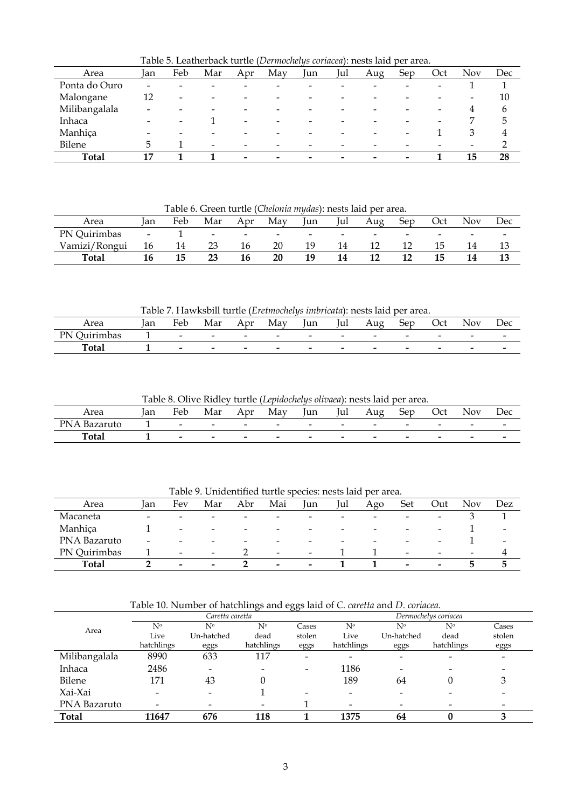|               |     |     |                          |                          |     |     |     | Table 9. Ecalitei back turne (Dermochens corincia). Hests laid per arca. |                          |     |     |     |
|---------------|-----|-----|--------------------------|--------------------------|-----|-----|-----|--------------------------------------------------------------------------|--------------------------|-----|-----|-----|
| Area          | Jan | Feb | Mar                      | Apr                      | May | Jun | lul | Aug                                                                      | Sep                      | Oct | Nov | Dec |
| Ponta do Ouro |     |     |                          |                          |     |     |     |                                                                          |                          |     |     |     |
| Malongane     | 12  |     |                          |                          |     |     |     |                                                                          |                          |     |     | 10  |
| Milibangalala |     |     | $\overline{\phantom{0}}$ |                          |     |     |     | -                                                                        |                          |     |     | b   |
| Inhaca        |     | -   |                          | $\overline{\phantom{0}}$ |     |     |     |                                                                          |                          |     |     | 5   |
| Manhiça       |     |     |                          |                          |     |     |     | -                                                                        | $\overline{\phantom{0}}$ |     |     | 4   |
| Bilene        |     |     | $\overline{\phantom{a}}$ |                          |     |     |     |                                                                          |                          |     |     |     |
| <b>Total</b>  | 17  |     |                          | $\overline{\phantom{0}}$ |     | -   | -   | $\tilde{\phantom{a}}$                                                    | $\overline{\phantom{a}}$ |     | 15  | 28  |

Table 5. Leatherback turtle (*Dermochelys coriacea*): nests laid per area.

Table 6. Green turtle (*Chelonia mydas*): nests laid per area.

| Area          | Ian                      | Feb | Mar             | Apr                      | May                      | lun | -lui-                    | Aug                      | ber | Oct                      | Nov.                  | Dec                      |
|---------------|--------------------------|-----|-----------------|--------------------------|--------------------------|-----|--------------------------|--------------------------|-----|--------------------------|-----------------------|--------------------------|
| PN Quirimbas  | $\overline{\phantom{0}}$ |     | $\qquad \qquad$ | $\overline{\phantom{0}}$ | $\overline{\phantom{0}}$ | -   | $\overline{\phantom{0}}$ | $\overline{\phantom{0}}$ | -   | $\overline{\phantom{0}}$ | $\tilde{\phantom{a}}$ | $\overline{\phantom{0}}$ |
| Vamizi/Rongui | 16                       | 14  | 23              | 16                       | 20                       |     |                          |                          | ∸   |                          |                       | ᆚ                        |
| <b>Total</b>  |                          | 15  | 23              |                          | 20                       |     | 14                       |                          |     |                          |                       | ⊥∪                       |

Table 7. Hawksbill turtle (*Eretmochelys imbricata*): nests laid per area.

| Area                          | lan | Feb                      | Mar                      | Apr                      | May                      | Jun                      | lui                      | Aug                      | ber                      | Oct                      | Nov                      | Dec                      |
|-------------------------------|-----|--------------------------|--------------------------|--------------------------|--------------------------|--------------------------|--------------------------|--------------------------|--------------------------|--------------------------|--------------------------|--------------------------|
| D٨<br>Juirimbas<br><b>TIV</b> |     | $\overline{\phantom{0}}$ | $\overline{\phantom{0}}$ | $\overline{\phantom{0}}$ | $\overline{\phantom{0}}$ | $\overline{\phantom{a}}$ | $\overline{\phantom{0}}$ | $\overline{\phantom{0}}$ | $\overline{\phantom{0}}$ | $\overline{\phantom{0}}$ | $\tilde{\phantom{a}}$    | $\overline{\phantom{0}}$ |
| <b>Total</b>                  |     | $\overline{\phantom{0}}$ | $\overline{\phantom{0}}$ | $\overline{\phantom{0}}$ | $\overline{\phantom{0}}$ | $\overline{\phantom{a}}$ | $\sim$                   | $\overline{\phantom{0}}$ | $\overline{\phantom{0}}$ | $\sim$                   | $\overline{\phantom{a}}$ | -                        |

Table 8. Olive Ridley turtle (*Lepidochelys olivaea*): nests laid per area.

| Area                        | lan | Feb                      | Mar                      | Apr                      | May                      | lun                      | lui                      | Aug                      | ber                      | Oct                      | Nov | Dec                      |
|-----------------------------|-----|--------------------------|--------------------------|--------------------------|--------------------------|--------------------------|--------------------------|--------------------------|--------------------------|--------------------------|-----|--------------------------|
| PNI<br>Bazaruto<br>$\Delta$ |     | $\qquad \qquad$          | $\overline{\phantom{0}}$ | $\overline{\phantom{0}}$ | $\overline{\phantom{0}}$ | $\overline{\phantom{a}}$ | $\overline{\phantom{0}}$ | $\overline{\phantom{0}}$ | $\overline{\phantom{0}}$ | $\overline{\phantom{0}}$ | -   | $\overline{\phantom{0}}$ |
| <b>Total</b>                |     | $\overline{\phantom{0}}$ | -                        | $\overline{\phantom{0}}$ | $\overline{\phantom{0}}$ | $\overline{\phantom{a}}$ | $\overline{\phantom{0}}$ | $\overline{\phantom{0}}$ | $\overline{\phantom{0}}$ | $\overline{\phantom{0}}$ | -   | $\sim$                   |

Table 9. Unidentified turtle species: nests laid per area.

| Area         | lan             | Fev                      | Mar                      | Abr                      | Mai                      | Jun                      | Jul                      | Ago                      | Set                      | Out                      | <b>Nov</b>               | Dez                      |
|--------------|-----------------|--------------------------|--------------------------|--------------------------|--------------------------|--------------------------|--------------------------|--------------------------|--------------------------|--------------------------|--------------------------|--------------------------|
| Macaneta     | -               | $\overline{\phantom{0}}$ | $\overline{\phantom{0}}$ | $\overline{\phantom{0}}$ |                          |                          |                          | $\overline{\phantom{0}}$ | $\overline{\phantom{0}}$ | $\overline{\phantom{a}}$ |                          |                          |
| Manhiça      |                 | $\overline{\phantom{0}}$ | $\overline{\phantom{0}}$ | $\overline{\phantom{0}}$ |                          | $\overline{\phantom{0}}$ | -                        | $\overline{\phantom{0}}$ | $\overline{\phantom{a}}$ | $\overline{\phantom{0}}$ |                          |                          |
| PNA Bazaruto | $\qquad \qquad$ | $\overline{\phantom{0}}$ | $\overline{\phantom{0}}$ | $\qquad \qquad$          | $\overline{\phantom{0}}$ | $\overline{\phantom{0}}$ | $\overline{\phantom{0}}$ | $\overline{\phantom{0}}$ | $\overline{\phantom{0}}$ | $\overline{\phantom{a}}$ |                          | $\overline{\phantom{a}}$ |
| PN Quirimbas |                 | $\overline{\phantom{0}}$ | $\overline{\phantom{a}}$ |                          | $\overline{\phantom{0}}$ | $\overline{\phantom{a}}$ |                          |                          | $\overline{\phantom{a}}$ | $\qquad \qquad$          | $\overline{\phantom{0}}$ | $\overline{4}$           |
| Total        |                 | $\overline{\phantom{0}}$ | $\,$                     |                          | $\overline{\phantom{0}}$ | $\qquad \qquad$          |                          |                          | $\,$                     | $\overline{\phantom{a}}$ |                          |                          |

Table 10. Number of hatchlings and eggs laid of *C*. *caretta* and *D*. *coriacea*.

|               |                | Caretta caretta          |                              |                          |                 |                | Dermochelys coriacea |        |
|---------------|----------------|--------------------------|------------------------------|--------------------------|-----------------|----------------|----------------------|--------|
| Area          | N <sub>o</sub> | $\mathbb{N}^{\circ}$     | N°                           | Cases                    | N <sub>0</sub>  | N <sub>o</sub> | N <sub>0</sub>       | Cases  |
|               | Live           | Un-hatched               | dead                         | stolen                   | Live            | Un-hatched     | dead                 | stolen |
|               | hatchlings     | eggs                     | hatchlings                   | eggs                     | hatchlings      | eggs           | hatchlings           | eggs   |
| Milibangalala | 8990           | 633                      | 117                          | $\overline{\phantom{a}}$ |                 |                |                      |        |
| Inhaca        | 2486           | $\overline{\phantom{0}}$ | $\qquad \qquad \blacksquare$ | $\qquad \qquad$          | 1186            |                |                      |        |
| Bilene        | 171            | 43                       | 0                            |                          | 189             | 64             |                      | 3      |
| Xai-Xai       |                |                          |                              |                          | $\qquad \qquad$ |                |                      |        |
| PNA Bazaruto  |                |                          | $\qquad \qquad$              |                          |                 |                |                      |        |
| Total         | 11647          | 676                      | 118                          |                          | 1375            | 64             |                      | 3      |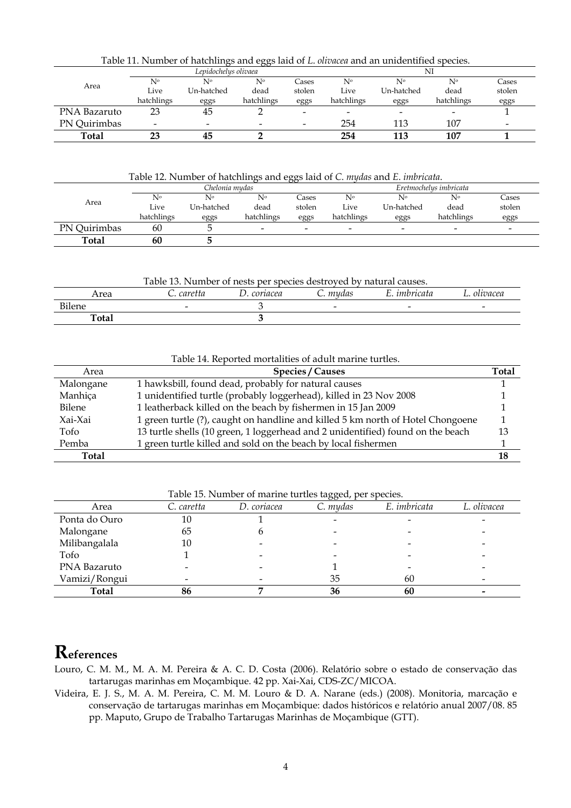|              |                          |                      |                          |                          | Table 11. Number of natchings and eggs laid of <i>E. Unuted</i> and an undentified species. |            |            |                          |  |  |  |
|--------------|--------------------------|----------------------|--------------------------|--------------------------|---------------------------------------------------------------------------------------------|------------|------------|--------------------------|--|--|--|
|              |                          | Lepidochelys olivaea |                          |                          | NI                                                                                          |            |            |                          |  |  |  |
| Area         | N°                       | N°                   | Nº                       | Cases                    | N°                                                                                          | Nº         | Nº         | Cases                    |  |  |  |
|              | Live                     | Un-hatched           | dead                     | stolen                   | Live                                                                                        | Un-hatched | dead       | stolen                   |  |  |  |
|              | hatchlings               | eggs                 | hatchlings               | eggs                     | hatchlings                                                                                  | eggs       | hatchlings | eggs                     |  |  |  |
| PNA Bazaruto | 23                       | 45                   |                          |                          |                                                                                             |            |            |                          |  |  |  |
| PN Ouirimbas | $\overline{\phantom{0}}$ | -                    | $\overline{\phantom{0}}$ | $\overline{\phantom{0}}$ | 254                                                                                         | 113        | 107        | $\overline{\phantom{0}}$ |  |  |  |
| Total        |                          | 45                   |                          |                          | 254                                                                                         | 113        | 107        |                          |  |  |  |

Table 11. Number of hatchlings and eggs laid of *L*. *olivacea* and an unidentified species.

Table 12. Number of hatchlings and eggs laid of *C*. *mydas* and *E*. *imbricata*.

| Area         | Chelonia mudas |            |                 |                          | Eretmochelus imbricata   |                 |            |                          |
|--------------|----------------|------------|-----------------|--------------------------|--------------------------|-----------------|------------|--------------------------|
|              | N°             | N°         | N°              | Cases                    | No                       | N°              | N°         | Cases                    |
|              | Live           | Un-hatched | dead            | stolen                   | Live                     | Un-hatched      | dead       | stolen                   |
|              | hatchlings     | eggs       | hatchlings      | eggs                     | hatchlings               | eggs            | hatchlings | eggs                     |
| PN Quirimbas | 60             |            | $\qquad \qquad$ | $\overline{\phantom{0}}$ | $\overline{\phantom{0}}$ | $\qquad \qquad$ | -          | $\overline{\phantom{a}}$ |
| Total        | 60             |            |                 |                          |                          |                 |            |                          |

Table 13. Number of nests per species destroyed by natural causes.

| Area         | caretta<br>J.            | coriacea | mydas<br>J. | ımbrıcata<br>- | $\cdot$<br>olwacea       |
|--------------|--------------------------|----------|-------------|----------------|--------------------------|
| Bilene       | $\overline{\phantom{a}}$ |          | -           | -              | $\overline{\phantom{0}}$ |
| <b>Total</b> |                          |          |             |                |                          |
|              |                          |          |             |                |                          |

#### Table 14. Reported mortalities of adult marine turtles.

| Area         | <b>Species / Causes</b>                                                         | Total |
|--------------|---------------------------------------------------------------------------------|-------|
| Malongane    | 1 hawksbill, found dead, probably for natural causes                            |       |
| Manhiça      | 1 unidentified turtle (probably loggerhead), killed in 23 Nov 2008              |       |
| Bilene       | 1 leatherback killed on the beach by fishermen in 15 Jan 2009                   |       |
| Xai-Xai      | 1 green turtle (?), caught on handline and killed 5 km north of Hotel Chongoene |       |
| Tofo         | 13 turtle shells (10 green, 1 loggerhead and 2 unidentified) found on the beach | 13    |
| Pemba        | 1 green turtle killed and sold on the beach by local fishermen                  |       |
| <b>Total</b> |                                                                                 | 18    |

Table 15. Number of marine turtles tagged, per species.

| Area          | C. caretta | D. coriacea | $\check{ }$<br>C. mydas | E. imbricata | L. olivacea |
|---------------|------------|-------------|-------------------------|--------------|-------------|
| Ponta do Ouro | 10         |             |                         |              |             |
| Malongane     | 65         |             |                         |              |             |
| Milibangalala | 10         |             |                         |              |             |
| Tofo          |            |             |                         |              |             |
| PNA Bazaruto  |            |             |                         |              |             |
| Vamizi/Rongui | -          |             | 35                      | 60           |             |
| Total         | 86         |             | 36                      | 60           |             |

## **References**

- Louro, C. M. M., M. A. M. Pereira & A. C. D. Costa (2006). Relatório sobre o estado de conservação das tartarugas marinhas em Moçambique. 42 pp. Xai-Xai, CDS-ZC/MICOA.
- Videira, E. J. S., M. A. M. Pereira, C. M. M. Louro & D. A. Narane (eds.) (2008). Monitoria, marcação e conservação de tartarugas marinhas em Moçambique: dados históricos e relatório anual 2007/08. 85 pp. Maputo, Grupo de Trabalho Tartarugas Marinhas de Moçambique (GTT).